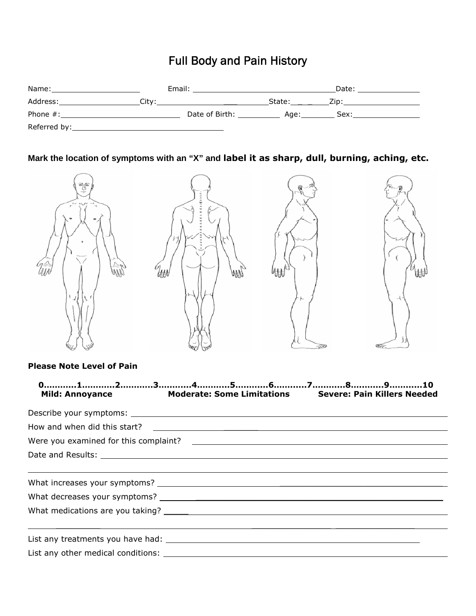## Full Body and Pain History

| Name:        |       | Email:         |        | Date: |  |
|--------------|-------|----------------|--------|-------|--|
| Address:     | Citv: |                | State: | Zip:  |  |
| Phone #:     |       | Date of Birth: | Age:   | Sex:  |  |
| Referred by: |       |                |        |       |  |

## **Mark the location of symptoms with an "X" and label it as sharp, dull, burning, aching, etc.**



## **Please Note Level of Pain**

| Mild: Annoyance Moderate: Some Limitations Severe: Pain Killers Needed |
|------------------------------------------------------------------------|
|                                                                        |
|                                                                        |
|                                                                        |
|                                                                        |
|                                                                        |
|                                                                        |
|                                                                        |
|                                                                        |
|                                                                        |